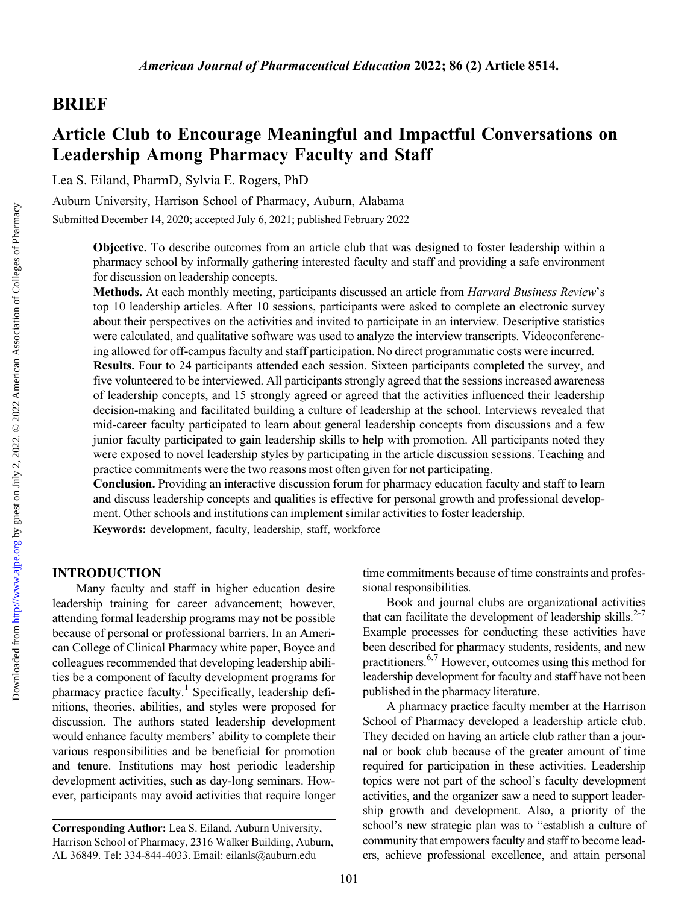## BRIEF

# Article Club to Encourage Meaningful and Impactful Conversations on Leadership Among Pharmacy Faculty and Staff

Lea S. Eiland, PharmD, Sylvia E. Rogers, PhD

Auburn University, Harrison School of Pharmacy, Auburn, Alabama

Submitted December 14, 2020; accepted July 6, 2021; published February 2022

Objective. To describe outcomes from an article club that was designed to foster leadership within a pharmacy school by informally gathering interested faculty and staff and providing a safe environment for discussion on leadership concepts.

Methods. At each monthly meeting, participants discussed an article from *Harvard Business Review's* top 10 leadership articles. After 10 sessions, participants were asked to complete an electronic survey about their perspectives on the activities and invited to participate in an interview. Descriptive statistics were calculated, and qualitative software was used to analyze the interview transcripts. Videoconferencing allowed for off-campus faculty and staff participation. No direct programmatic costs were incurred. Results. Four to 24 participants attended each session. Sixteen participants completed the survey, and five volunteered to be interviewed. All participants strongly agreed that the sessions increased awareness of leadership concepts, and 15 strongly agreed or agreed that the activities influenced their leadership decision-making and facilitated building a culture of leadership at the school. Interviews revealed that mid-career faculty participated to learn about general leadership concepts from discussions and a few junior faculty participated to gain leadership skills to help with promotion. All participants noted they

were exposed to novel leadership styles by participating in the article discussion sessions. Teaching and practice commitments were the two reasons most often given for not participating.

Conclusion. Providing an interactive discussion forum for pharmacy education faculty and staff to learn and discuss leadership concepts and qualities is effective for personal growth and professional development. Other schools and institutions can implement similar activities to foster leadership. Keywords: development, faculty, leadership, staff, workforce

## INTRODUCTION

Many faculty and staff in higher education desire leadership training for career advancement; however, attending formal leadership programs may not be possible because of personal or professional barriers. In an American College of Clinical Pharmacy white paper, Boyce and colleagues recommended that developing leadership abilities be a component of faculty development programs for pharmacy practice faculty.<sup>1</sup> Specifically, leadership definitions, theories, abilities, and styles were proposed for discussion. The authors stated leadership development would enhance faculty members' ability to complete their various responsibilities and be beneficial for promotion and tenure. Institutions may host periodic leadership development activities, such as day-long seminars. However, participants may avoid activities that require longer

time commitments because of time constraints and professional responsibilities.

Book and journal clubs are organizational activities that can facilitate the development of leadership skills. $2-7$ Example processes for conducting these activities have been described for pharmacy students, residents, and new practitioners.[6,7](#page-5-0) However, outcomes using this method for leadership development for faculty and staff have not been published in the pharmacy literature.

A pharmacy practice faculty member at the Harrison School of Pharmacy developed a leadership article club. They decided on having an article club rather than a journal or book club because of the greater amount of time required for participation in these activities. Leadership topics were not part of the school's faculty development activities, and the organizer saw a need to support leadership growth and development. Also, a priority of the school's new strategic plan was to "establish a culture of community that empowers faculty and staff to become leaders, achieve professional excellence, and attain personal

Corresponding Author: Lea S. Eiland, Auburn University, Harrison School of Pharmacy, 2316 Walker Building, Auburn, AL 36849. Tel: 334-844-4033. Email: [eilanls@auburn.edu](mailto:eilanls@auburn.edu)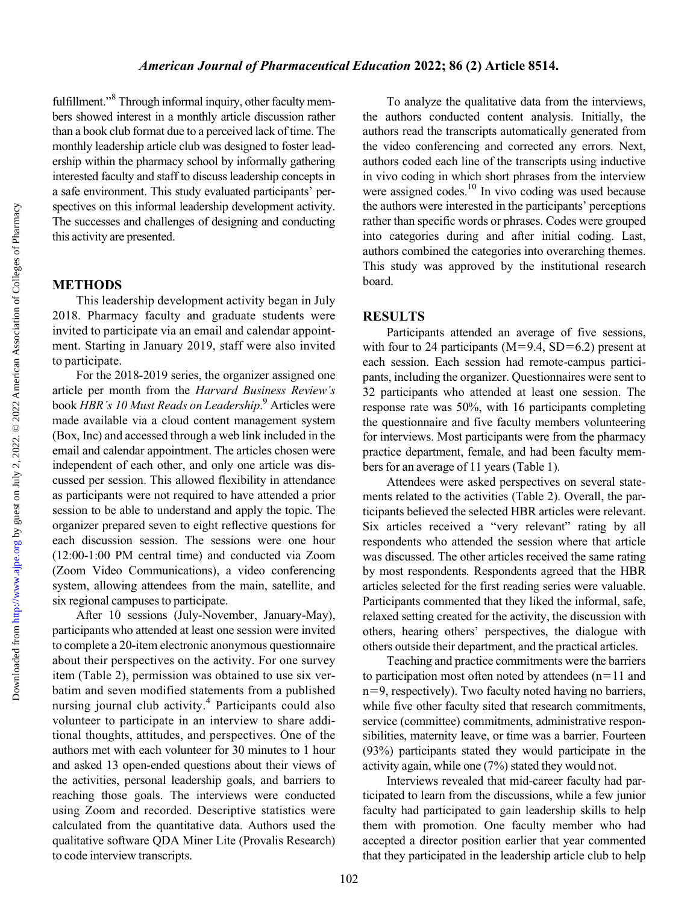Downloaded from

### American Journal of Pharmaceutical Education 2022; 86 (2) Article 8514.

fulfillment."[8](#page-5-0) Through informal inquiry, other faculty members showed interest in a monthly article discussion rather than a book club format due to a perceived lack of time. The monthly leadership article club was designed to foster leadership within the pharmacy school by informally gathering interested faculty and staff to discuss leadership concepts in a safe environment. This study evaluated participants' perspectives on this informal leadership development activity. The successes and challenges of designing and conducting this activity are presented.

## METHODS

This leadership development activity began in July 2018. Pharmacy faculty and graduate students were invited to participate via an email and calendar appointment. Starting in January 2019, staff were also invited to participate.

For the 2018-2019 series, the organizer assigned one article per month from the Harvard Business Review's book HBR's 10 Must Reads on Leadership.<sup>[9](#page-5-0)</sup> Articles were made available via a cloud content management system (Box, Inc) and accessed through a web link included in the email and calendar appointment. The articles chosen were independent of each other, and only one article was discussed per session. This allowed flexibility in attendance as participants were not required to have attended a prior session to be able to understand and apply the topic. The organizer prepared seven to eight reflective questions for each discussion session. The sessions were one hour (12:00-1:00 PM central time) and conducted via Zoom (Zoom Video Communications), a video conferencing system, allowing attendees from the main, satellite, and six regional campuses to participate.

After 10 sessions (July-November, January-May), participants who attended at least one session were invited to complete a 20-item electronic anonymous questionnaire about their perspectives on the activity. For one survey item (Table [2\)](#page-3-0), permission was obtained to use six verbatim and seven modified statements from a published nursing journal club activity.[4](#page-5-0) Participants could also volunteer to participate in an interview to share additional thoughts, attitudes, and perspectives. One of the authors met with each volunteer for 30 minutes to 1 hour and asked 13 open-ended questions about their views of the activities, personal leadership goals, and barriers to reaching those goals. The interviews were conducted using Zoom and recorded. Descriptive statistics were calculated from the quantitative data. Authors used the qualitative software QDA Miner Lite (Provalis Research) to code interview transcripts.

To analyze the qualitative data from the interviews, the authors conducted content analysis. Initially, the authors read the transcripts automatically generated from the video conferencing and corrected any errors. Next, authors coded each line of the transcripts using inductive in vivo coding in which short phrases from the interview were assigned codes.<sup>10</sup> In vivo coding was used because the authors were interested in the participants' perceptions rather than specific words or phrases. Codes were grouped into categories during and after initial coding. Last, authors combined the categories into overarching themes. This study was approved by the institutional research board.

### RESULTS

Participants attended an average of five sessions, with four to 24 participants ( $M=9.4$ , SD $=6.2$ ) present at each session. Each session had remote-campus participants, including the organizer. Questionnaires were sent to 32 participants who attended at least one session. The response rate was 50%, with 16 participants completing the questionnaire and five faculty members volunteering for interviews. Most participants were from the pharmacy practice department, female, and had been faculty members for an average of 11 years (Table [1\)](#page-2-0).

Attendees were asked perspectives on several statements related to the activities (Table [2](#page-3-0)). Overall, the participants believed the selected HBR articles were relevant. Six articles received a "very relevant" rating by all respondents who attended the session where that article was discussed. The other articles received the same rating by most respondents. Respondents agreed that the HBR articles selected for the first reading series were valuable. Participants commented that they liked the informal, safe, relaxed setting created for the activity, the discussion with others, hearing others' perspectives, the dialogue with others outside their department, and the practical articles.

Teaching and practice commitments were the barriers to participation most often noted by attendees  $(n=11$  and  $n=9$ , respectively). Two faculty noted having no barriers, while five other faculty sited that research commitments, service (committee) commitments, administrative responsibilities, maternity leave, or time was a barrier. Fourteen (93%) participants stated they would participate in the activity again, while one (7%) stated they would not.

Interviews revealed that mid-career faculty had participated to learn from the discussions, while a few junior faculty had participated to gain leadership skills to help them with promotion. One faculty member who had accepted a director position earlier that year commented that they participated in the leadership article club to help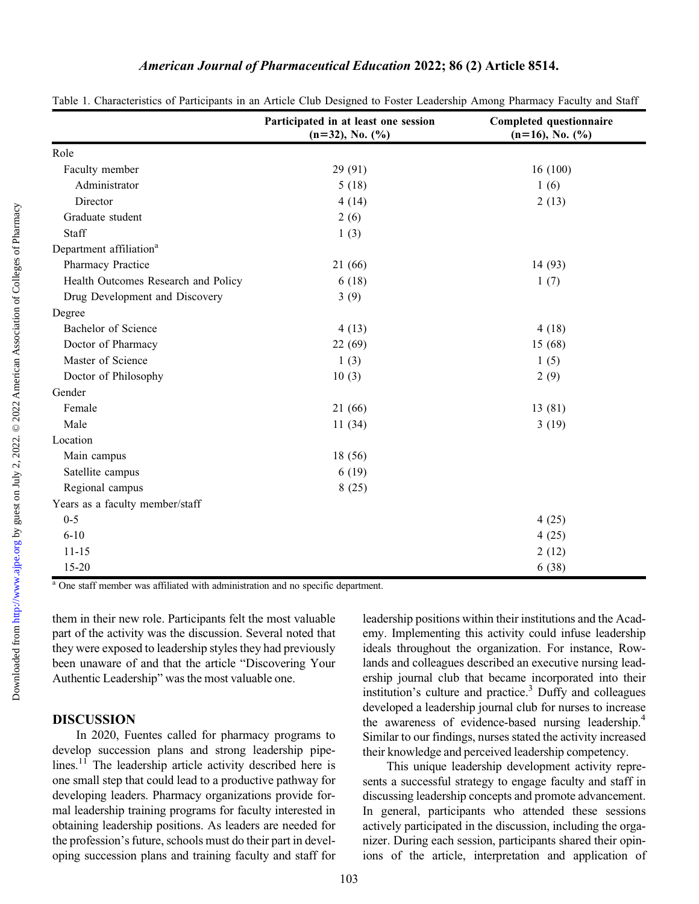## American Journal of Pharmaceutical Education 2022; 86 (2) Article 8514.

|                                     | Participated in at least one session | Completed questionnaire |
|-------------------------------------|--------------------------------------|-------------------------|
|                                     | $(n=32)$ , No. $(\%$ )               | $(n=16)$ , No. $(\%)$   |
| Role                                |                                      |                         |
| Faculty member                      | 29 (91)                              | 16(100)                 |
| Administrator                       | 5(18)                                | 1(6)                    |
| Director                            | 4(14)                                | 2(13)                   |
| Graduate student                    | 2(6)                                 |                         |
| Staff                               | 1(3)                                 |                         |
| Department affiliation <sup>a</sup> |                                      |                         |
| Pharmacy Practice                   | 21 (66)                              | 14(93)                  |
| Health Outcomes Research and Policy | 6(18)                                | 1(7)                    |
| Drug Development and Discovery      | 3(9)                                 |                         |
| Degree                              |                                      |                         |
| Bachelor of Science                 | 4(13)                                | 4(18)                   |
| Doctor of Pharmacy                  | 22 (69)                              | 15(68)                  |
| Master of Science                   | 1(3)                                 | 1(5)                    |
| Doctor of Philosophy                | 10(3)                                | 2(9)                    |
| Gender                              |                                      |                         |
| Female                              | 21(66)                               | 13(81)                  |
| Male                                | 11(34)                               | 3(19)                   |
| Location                            |                                      |                         |
| Main campus                         | 18 (56)                              |                         |
| Satellite campus                    | 6(19)                                |                         |
| Regional campus                     | 8(25)                                |                         |
| Years as a faculty member/staff     |                                      |                         |
| $0 - 5$                             |                                      | 4(25)                   |
| $6 - 10$                            |                                      | 4(25)                   |
| $11 - 15$                           |                                      | 2(12)                   |
| $15 - 20$                           |                                      | 6(38)                   |

<span id="page-2-0"></span>Table 1. Characteristics of Participants in an Article Club Designed to Foster Leadership Among Pharmacy Faculty and Staff

<sup>a</sup> One staff member was affiliated with administration and no specific department.

them in their new role. Participants felt the most valuable part of the activity was the discussion. Several noted that they were exposed to leadership styles they had previously been unaware of and that the article "Discovering Your Authentic Leadership" was the most valuable one.

#### DISCUSSION

In 2020, Fuentes called for pharmacy programs to develop succession plans and strong leadership pipe-lines.<sup>[11](#page-5-0)</sup> The leadership article activity described here is one small step that could lead to a productive pathway for developing leaders. Pharmacy organizations provide formal leadership training programs for faculty interested in obtaining leadership positions. As leaders are needed for the profession's future, schools must do their part in developing succession plans and training faculty and staff for leadership positions within their institutions and the Academy. Implementing this activity could infuse leadership ideals throughout the organization. For instance, Rowlands and colleagues described an executive nursing leadership journal club that became incorporated into their institution's culture and practice.<sup>3</sup> Duffy and colleagues developed a leadership journal club for nurses to increase the awareness of evidence-based nursing leadership.[4](#page-5-0) Similar to our findings, nurses stated the activity increased their knowledge and perceived leadership competency.

This unique leadership development activity represents a successful strategy to engage faculty and staff in discussing leadership concepts and promote advancement. In general, participants who attended these sessions actively participated in the discussion, including the organizer. During each session, participants shared their opinions of the article, interpretation and application of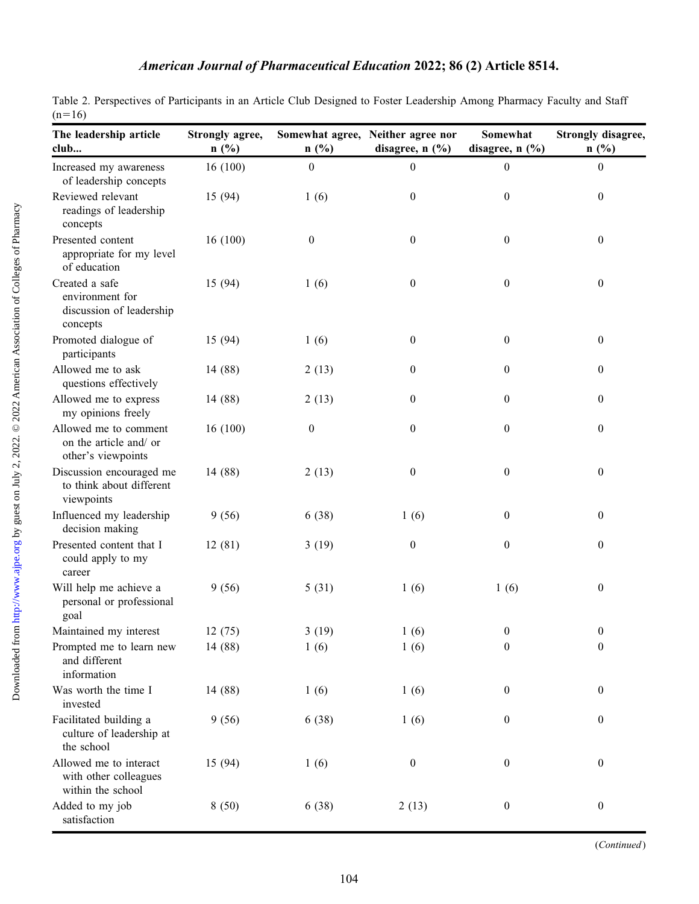<span id="page-3-0"></span>

|          | Table 2. Perspectives of Participants in an Article Club Designed to Foster Leadership Among Pharmacy Faculty and Staff |  |  |  |  |  |
|----------|-------------------------------------------------------------------------------------------------------------------------|--|--|--|--|--|
| $(n=16)$ |                                                                                                                         |  |  |  |  |  |

| The leadership article<br>club                                            | Strongly agree,<br>$n$ (%) | n(%)             | Somewhat agree, Neither agree nor<br>disagree, $n$ $(\%)$ | Somewhat<br>disagree, $n$ $(\%)$ | Strongly disagree,<br>n(%) |
|---------------------------------------------------------------------------|----------------------------|------------------|-----------------------------------------------------------|----------------------------------|----------------------------|
| Increased my awareness<br>of leadership concepts                          | 16(100)                    | $\boldsymbol{0}$ | $\mathbf{0}$                                              | $\boldsymbol{0}$                 | $\boldsymbol{0}$           |
| Reviewed relevant<br>readings of leadership<br>concepts                   | 15 (94)                    | 1(6)             | $\mathbf{0}$                                              | $\boldsymbol{0}$                 | $\mathbf{0}$               |
| Presented content<br>appropriate for my level<br>of education             | 16(100)                    | $\boldsymbol{0}$ | $\boldsymbol{0}$                                          | $\boldsymbol{0}$                 | $\boldsymbol{0}$           |
| Created a safe<br>environment for<br>discussion of leadership<br>concepts | 15 (94)                    | 1(6)             | $\boldsymbol{0}$                                          | $\boldsymbol{0}$                 | $\boldsymbol{0}$           |
| Promoted dialogue of<br>participants                                      | 15 (94)                    | 1(6)             | $\boldsymbol{0}$                                          | $\boldsymbol{0}$                 | $\boldsymbol{0}$           |
| Allowed me to ask<br>questions effectively                                | 14 (88)                    | 2(13)            | $\boldsymbol{0}$                                          | $\boldsymbol{0}$                 | $\boldsymbol{0}$           |
| Allowed me to express<br>my opinions freely                               | 14 (88)                    | 2(13)            | $\boldsymbol{0}$                                          | $\boldsymbol{0}$                 | $\boldsymbol{0}$           |
| Allowed me to comment<br>on the article and/ or<br>other's viewpoints     | 16(100)                    | $\boldsymbol{0}$ | $\boldsymbol{0}$                                          | $\boldsymbol{0}$                 | $\boldsymbol{0}$           |
| Discussion encouraged me<br>to think about different<br>viewpoints        | 14 (88)                    | 2(13)            | $\boldsymbol{0}$                                          | $\boldsymbol{0}$                 | $\boldsymbol{0}$           |
| Influenced my leadership<br>decision making                               | 9(56)                      | 6(38)            | 1(6)                                                      | $\boldsymbol{0}$                 | $\boldsymbol{0}$           |
| Presented content that I<br>could apply to my<br>career                   | 12(81)                     | 3(19)            | $\boldsymbol{0}$                                          | $\boldsymbol{0}$                 | $\boldsymbol{0}$           |
| Will help me achieve a<br>personal or professional<br>goal                | 9(56)                      | 5(31)            | 1(6)                                                      | 1(6)                             | $\boldsymbol{0}$           |
| Maintained my interest                                                    | 12(75)                     | 3(19)            | 1(6)                                                      | $\boldsymbol{0}$                 | $\boldsymbol{0}$           |
| Prompted me to learn new<br>and different<br>information                  | 14 (88)                    | 1(6)             | 1(6)                                                      | $\boldsymbol{0}$                 | $\boldsymbol{0}$           |
| Was worth the time I<br>invested                                          | 14 (88)                    | 1(6)             | 1(6)                                                      | $\boldsymbol{0}$                 | $\boldsymbol{0}$           |
| Facilitated building a<br>culture of leadership at<br>the school          | 9(56)                      | 6(38)            | 1(6)                                                      | $\boldsymbol{0}$                 | $\boldsymbol{0}$           |
| Allowed me to interact<br>with other colleagues<br>within the school      | 15 (94)                    | 1(6)             | $\boldsymbol{0}$                                          | $\boldsymbol{0}$                 | $\boldsymbol{0}$           |
| Added to my job<br>satisfaction                                           | 8(50)                      | 6(38)            | 2(13)                                                     | $\boldsymbol{0}$                 | $\boldsymbol{0}$           |

(Continued)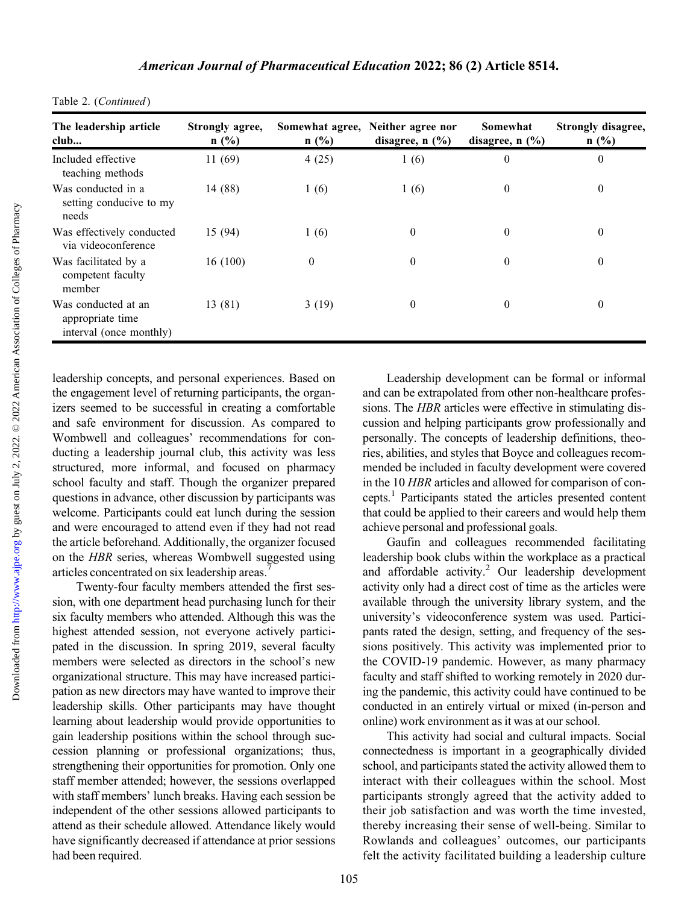| The leadership article<br>club                                     | Strongly agree,<br>$n$ (%) | $n$ (%)          | Somewhat agree, Neither agree nor<br>disagree, $n$ $(\frac{9}{6})$ | Somewhat<br>disagree, $n$ $(\%)$ | Strongly disagree,<br>$n$ (%) |
|--------------------------------------------------------------------|----------------------------|------------------|--------------------------------------------------------------------|----------------------------------|-------------------------------|
| Included effective<br>teaching methods                             | 11(69)                     | 4(25)            | 1(6)                                                               | $\boldsymbol{0}$                 | $\theta$                      |
| Was conducted in a<br>setting conducive to my<br>needs             | 14 (88)                    | 1(6)             | 1(6)                                                               | $\theta$                         | $\theta$                      |
| Was effectively conducted<br>via videoconference                   | 15 (94)                    | 1(6)             | $\theta$                                                           | $\theta$                         | $\theta$                      |
| Was facilitated by a<br>competent faculty<br>member                | 16(100)                    | $\boldsymbol{0}$ | $\theta$                                                           | $\theta$                         | $\theta$                      |
| Was conducted at an<br>appropriate time<br>interval (once monthly) | 13 (81)                    | 3(19)            | $\theta$                                                           | $\theta$                         | $\theta$                      |

|  |  | Table 2. (Continued) |
|--|--|----------------------|
|--|--|----------------------|

leadership concepts, and personal experiences. Based on the engagement level of returning participants, the organizers seemed to be successful in creating a comfortable and safe environment for discussion. As compared to Wombwell and colleagues' recommendations for conducting a leadership journal club, this activity was less structured, more informal, and focused on pharmacy school faculty and staff. Though the organizer prepared questions in advance, other discussion by participants was welcome. Participants could eat lunch during the session and were encouraged to attend even if they had not read the article beforehand. Additionally, the organizer focused on the HBR series, whereas Wombwell suggested using articles concentrated on six leadership areas.<sup>7</sup>

Twenty-four faculty members attended the first session, with one department head purchasing lunch for their six faculty members who attended. Although this was the highest attended session, not everyone actively participated in the discussion. In spring 2019, several faculty members were selected as directors in the school's new organizational structure. This may have increased participation as new directors may have wanted to improve their leadership skills. Other participants may have thought learning about leadership would provide opportunities to gain leadership positions within the school through succession planning or professional organizations; thus, strengthening their opportunities for promotion. Only one staff member attended; however, the sessions overlapped with staff members' lunch breaks. Having each session be independent of the other sessions allowed participants to attend as their schedule allowed. Attendance likely would have significantly decreased if attendance at prior sessions had been required.

Leadership development can be formal or informal and can be extrapolated from other non-healthcare professions. The HBR articles were effective in stimulating discussion and helping participants grow professionally and personally. The concepts of leadership definitions, theories, abilities, and styles that Boyce and colleagues recommended be included in faculty development were covered in the 10 HBR articles and allowed for comparison of concepts[.1](#page-5-0) Participants stated the articles presented content that could be applied to their careers and would help them achieve personal and professional goals.

Gaufin and colleagues recommended facilitating leadership book clubs within the workplace as a practical and affordable activity.<sup>2</sup> Our leadership development activity only had a direct cost of time as the articles were available through the university library system, and the university's videoconference system was used. Participants rated the design, setting, and frequency of the sessions positively. This activity was implemented prior to the COVID-19 pandemic. However, as many pharmacy faculty and staff shifted to working remotely in 2020 during the pandemic, this activity could have continued to be conducted in an entirely virtual or mixed (in-person and online) work environment as it was at our school.

This activity had social and cultural impacts. Social connectedness is important in a geographically divided school, and participants stated the activity allowed them to interact with their colleagues within the school. Most participants strongly agreed that the activity added to their job satisfaction and was worth the time invested, thereby increasing their sense of well-being. Similar to Rowlands and colleagues' outcomes, our participants felt the activity facilitated building a leadership culture